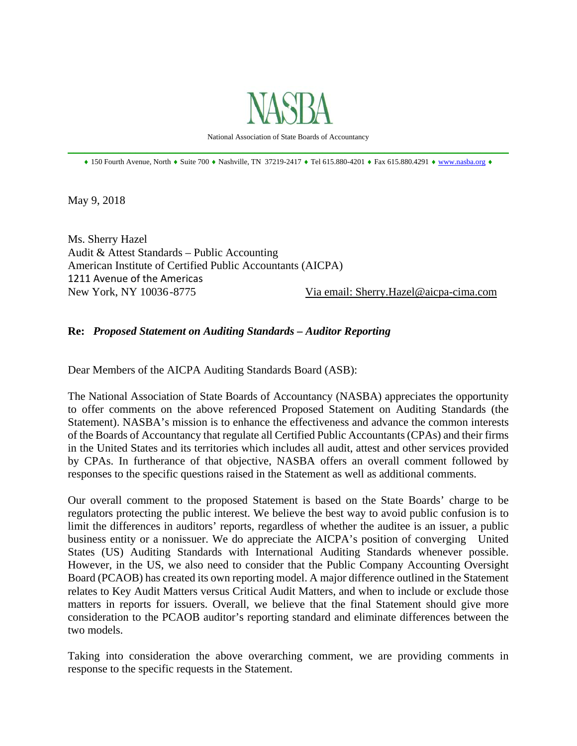

National Association of State Boards of Accountancy \_\_\_\_\_\_\_\_\_\_\_\_\_\_\_\_\_\_\_\_\_\_\_\_\_\_\_\_\_\_\_\_\_\_\_\_\_\_\_\_\_\_\_\_\_\_\_\_\_\_\_\_\_\_\_\_\_\_\_\_\_\_\_\_\_\_\_\_\_\_\_\_\_\_\_\_\_\_

 $\bullet$  150 Fourth Avenue, North  $\bullet$  Suite 700  $\bullet$  Nashville, TN 37219-2417  $\bullet$  Tel 615.880-4201  $\bullet$  Fax 615.880.4291  $\bullet$  www.nasba.org  $\bullet$ 

May 9, 2018

Ms. Sherry Hazel Audit & Attest Standards – Public Accounting American Institute of Certified Public Accountants (AICPA) 1211 Avenue of the Americas New York, NY 10036 -8775 Via email: Sherry.Hazel@aicpa-cima.com

#### **Re:** *Proposed Statement on Auditing Standards – Auditor Reporting*

Dear Members of the AICPA Auditing Standards Board (ASB):

The National Association of State Boards of Accountancy (NASBA) appreciates the opportunity to offer comments on the above referenced Proposed Statement on Auditing Standards (the Statement). NASBA's mission is to enhance the effectiveness and advance the common interests of the Boards of Accountancy that regulate all Certified Public Accountants (CPAs) and their firms in the United States and its territories which includes all audit, attest and other services provided by CPAs. In furtherance of that objective, NASBA offers an overall comment followed by responses to the specific questions raised in the Statement as well as additional comments.

Our overall comment to the proposed Statement is based on the State Boards' charge to be regulators protecting the public interest. We believe the best way to avoid public confusion is to limit the differences in auditors' reports, regardless of whether the auditee is an issuer, a public business entity or a nonissuer. We do appreciate the AICPA's position of converging United States (US) Auditing Standards with International Auditing Standards whenever possible. However, in the US, we also need to consider that the Public Company Accounting Oversight Board (PCAOB) has created its own reporting model. A major difference outlined in the Statement relates to Key Audit Matters versus Critical Audit Matters, and when to include or exclude those matters in reports for issuers. Overall, we believe that the final Statement should give more consideration to the PCAOB auditor's reporting standard and eliminate differences between the two models.

Taking into consideration the above overarching comment, we are providing comments in response to the specific requests in the Statement.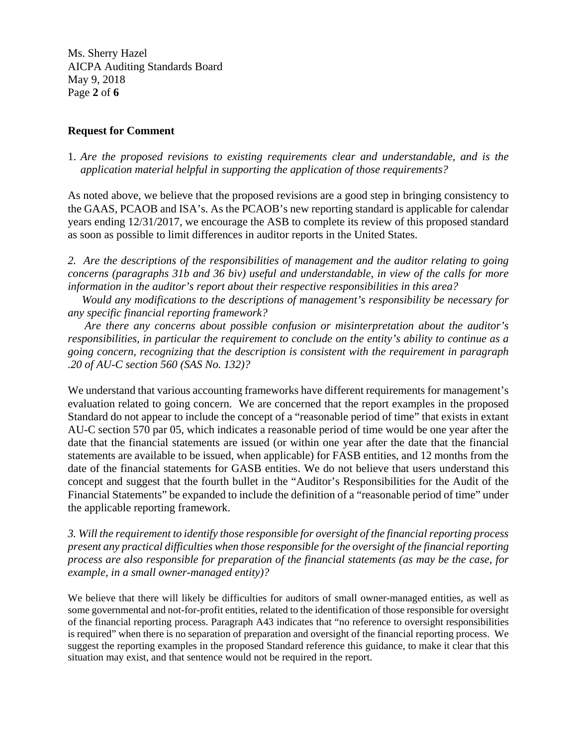Ms. Sherry Hazel AICPA Auditing Standards Board May 9, 2018 Page **2** of **6**

## **Request for Comment**

1. *Are the proposed revisions to existing requirements clear and understandable, and is the application material helpful in supporting the application of those requirements?* 

As noted above, we believe that the proposed revisions are a good step in bringing consistency to the GAAS, PCAOB and ISA's. As the PCAOB's new reporting standard is applicable for calendar years ending 12/31/2017, we encourage the ASB to complete its review of this proposed standard as soon as possible to limit differences in auditor reports in the United States.

*2. Are the descriptions of the responsibilities of management and the auditor relating to going concerns (paragraphs 31b and 36 biv) useful and understandable, in view of the calls for more information in the auditor's report about their respective responsibilities in this area?* 

 *Would any modifications to the descriptions of management's responsibility be necessary for any specific financial reporting framework?* 

 *Are there any concerns about possible confusion or misinterpretation about the auditor's responsibilities, in particular the requirement to conclude on the entity's ability to continue as a going concern, recognizing that the description is consistent with the requirement in paragraph .20 of AU-C section 560 (SAS No. 132)?* 

We understand that various accounting frameworks have different requirements for management's evaluation related to going concern. We are concerned that the report examples in the proposed Standard do not appear to include the concept of a "reasonable period of time" that exists in extant AU-C section 570 par 05, which indicates a reasonable period of time would be one year after the date that the financial statements are issued (or within one year after the date that the financial statements are available to be issued, when applicable) for FASB entities, and 12 months from the date of the financial statements for GASB entities. We do not believe that users understand this concept and suggest that the fourth bullet in the "Auditor's Responsibilities for the Audit of the Financial Statements" be expanded to include the definition of a "reasonable period of time" under the applicable reporting framework.

*3. Will the requirement to identify those responsible for oversight of the financial reporting process present any practical difficulties when those responsible for the oversight of the financial reporting process are also responsible for preparation of the financial statements (as may be the case, for example, in a small owner-managed entity)?* 

We believe that there will likely be difficulties for auditors of small owner-managed entities, as well as some governmental and not-for-profit entities, related to the identification of those responsible for oversight of the financial reporting process. Paragraph A43 indicates that "no reference to oversight responsibilities is required" when there is no separation of preparation and oversight of the financial reporting process. We suggest the reporting examples in the proposed Standard reference this guidance, to make it clear that this situation may exist, and that sentence would not be required in the report.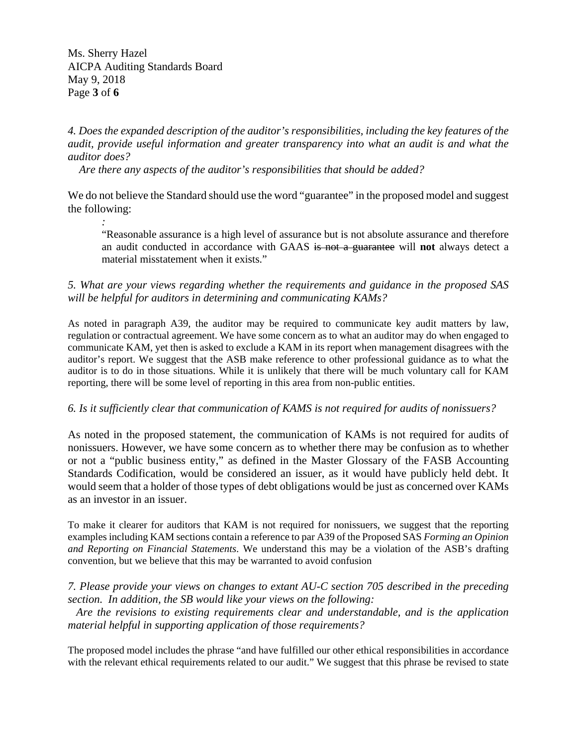Ms. Sherry Hazel AICPA Auditing Standards Board May 9, 2018 Page **3** of **6**

# *4. Does the expanded description of the auditor's responsibilities, including the key features of the audit, provide useful information and greater transparency into what an audit is and what the auditor does?*

 *Are there any aspects of the auditor's responsibilities that should be added?* 

We do not believe the Standard should use the word "guarantee" in the proposed model and suggest the following:

*:*  "Reasonable assurance is a high level of assurance but is not absolute assurance and therefore an audit conducted in accordance with GAAS is not a guarantee will **not** always detect a material misstatement when it exists."

# *5. What are your views regarding whether the requirements and guidance in the proposed SAS will be helpful for auditors in determining and communicating KAMs?*

As noted in paragraph A39, the auditor may be required to communicate key audit matters by law, regulation or contractual agreement. We have some concern as to what an auditor may do when engaged to communicate KAM, yet then is asked to exclude a KAM in its report when management disagrees with the auditor's report. We suggest that the ASB make reference to other professional guidance as to what the auditor is to do in those situations. While it is unlikely that there will be much voluntary call for KAM reporting, there will be some level of reporting in this area from non-public entities.

## *6. Is it sufficiently clear that communication of KAMS is not required for audits of nonissuers?*

As noted in the proposed statement, the communication of KAMs is not required for audits of nonissuers. However, we have some concern as to whether there may be confusion as to whether or not a "public business entity," as defined in the Master Glossary of the FASB Accounting Standards Codification, would be considered an issuer, as it would have publicly held debt. It would seem that a holder of those types of debt obligations would be just as concerned over KAMs as an investor in an issuer.

To make it clearer for auditors that KAM is not required for nonissuers, we suggest that the reporting examples including KAM sections contain a reference to par A39 of the Proposed SAS *Forming an Opinion and Reporting on Financial Statements*. We understand this may be a violation of the ASB's drafting convention, but we believe that this may be warranted to avoid confusion

## *7. Please provide your views on changes to extant AU-C section 705 described in the preceding section. In addition, the SB would like your views on the following:*

 *Are the revisions to existing requirements clear and understandable, and is the application material helpful in supporting application of those requirements?* 

The proposed model includes the phrase "and have fulfilled our other ethical responsibilities in accordance with the relevant ethical requirements related to our audit." We suggest that this phrase be revised to state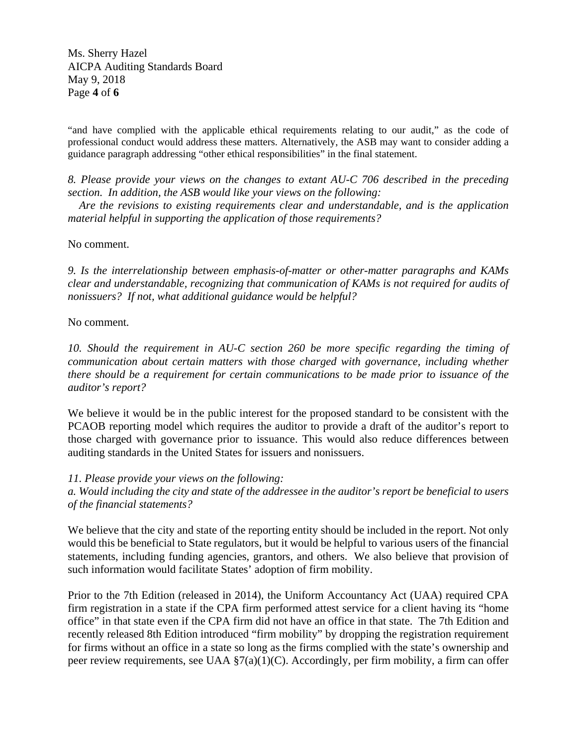Ms. Sherry Hazel AICPA Auditing Standards Board May 9, 2018 Page **4** of **6**

"and have complied with the applicable ethical requirements relating to our audit," as the code of professional conduct would address these matters. Alternatively, the ASB may want to consider adding a guidance paragraph addressing "other ethical responsibilities" in the final statement.

*8. Please provide your views on the changes to extant AU-C 706 described in the preceding section. In addition, the ASB would like your views on the following:* 

 *Are the revisions to existing requirements clear and understandable, and is the application material helpful in supporting the application of those requirements?* 

No comment.

*9. Is the interrelationship between emphasis-of-matter or other-matter paragraphs and KAMs clear and understandable, recognizing that communication of KAMs is not required for audits of nonissuers? If not, what additional guidance would be helpful?* 

No comment*.* 

*10. Should the requirement in AU-C section 260 be more specific regarding the timing of communication about certain matters with those charged with governance, including whether there should be a requirement for certain communications to be made prior to issuance of the auditor's report?* 

We believe it would be in the public interest for the proposed standard to be consistent with the PCAOB reporting model which requires the auditor to provide a draft of the auditor's report to those charged with governance prior to issuance. This would also reduce differences between auditing standards in the United States for issuers and nonissuers.

*11. Please provide your views on the following:* 

*a. Would including the city and state of the addressee in the auditor's report be beneficial to users of the financial statements?* 

We believe that the city and state of the reporting entity should be included in the report. Not only would this be beneficial to State regulators, but it would be helpful to various users of the financial statements, including funding agencies, grantors, and others. We also believe that provision of such information would facilitate States' adoption of firm mobility.

Prior to the 7th Edition (released in 2014), the Uniform Accountancy Act (UAA) required CPA firm registration in a state if the CPA firm performed attest service for a client having its "home office" in that state even if the CPA firm did not have an office in that state. The 7th Edition and recently released 8th Edition introduced "firm mobility" by dropping the registration requirement for firms without an office in a state so long as the firms complied with the state's ownership and peer review requirements, see UAA §7(a)(1)(C). Accordingly, per firm mobility, a firm can offer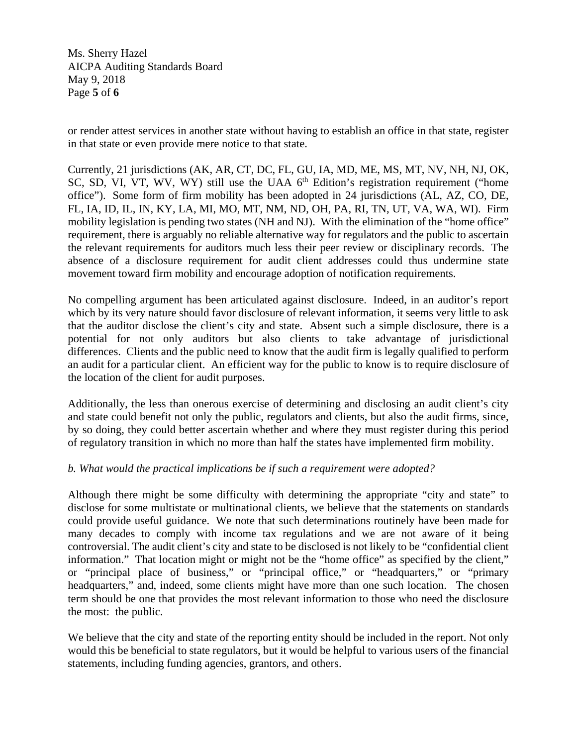Ms. Sherry Hazel AICPA Auditing Standards Board May 9, 2018 Page **5** of **6**

or render attest services in another state without having to establish an office in that state, register in that state or even provide mere notice to that state.

Currently, 21 jurisdictions (AK, AR, CT, DC, FL, GU, IA, MD, ME, MS, MT, NV, NH, NJ, OK, SC, SD, VI, VT, WV, WY) still use the UAA 6<sup>th</sup> Edition's registration requirement ("home office"). Some form of firm mobility has been adopted in 24 jurisdictions (AL, AZ, CO, DE, FL, IA, ID, IL, IN, KY, LA, MI, MO, MT, NM, ND, OH, PA, RI, TN, UT, VA, WA, WI). Firm mobility legislation is pending two states (NH and NJ). With the elimination of the "home office" requirement, there is arguably no reliable alternative way for regulators and the public to ascertain the relevant requirements for auditors much less their peer review or disciplinary records. The absence of a disclosure requirement for audit client addresses could thus undermine state movement toward firm mobility and encourage adoption of notification requirements.

No compelling argument has been articulated against disclosure. Indeed, in an auditor's report which by its very nature should favor disclosure of relevant information, it seems very little to ask that the auditor disclose the client's city and state. Absent such a simple disclosure, there is a potential for not only auditors but also clients to take advantage of jurisdictional differences. Clients and the public need to know that the audit firm is legally qualified to perform an audit for a particular client. An efficient way for the public to know is to require disclosure of the location of the client for audit purposes.

Additionally, the less than onerous exercise of determining and disclosing an audit client's city and state could benefit not only the public, regulators and clients, but also the audit firms, since, by so doing, they could better ascertain whether and where they must register during this period of regulatory transition in which no more than half the states have implemented firm mobility.

# *b. What would the practical implications be if such a requirement were adopted?*

Although there might be some difficulty with determining the appropriate "city and state" to disclose for some multistate or multinational clients, we believe that the statements on standards could provide useful guidance. We note that such determinations routinely have been made for many decades to comply with income tax regulations and we are not aware of it being controversial. The audit client's city and state to be disclosed is not likely to be "confidential client information." That location might or might not be the "home office" as specified by the client," or "principal place of business," or "principal office," or "headquarters," or "primary headquarters," and, indeed, some clients might have more than one such location. The chosen term should be one that provides the most relevant information to those who need the disclosure the most: the public.

We believe that the city and state of the reporting entity should be included in the report. Not only would this be beneficial to state regulators, but it would be helpful to various users of the financial statements, including funding agencies, grantors, and others.